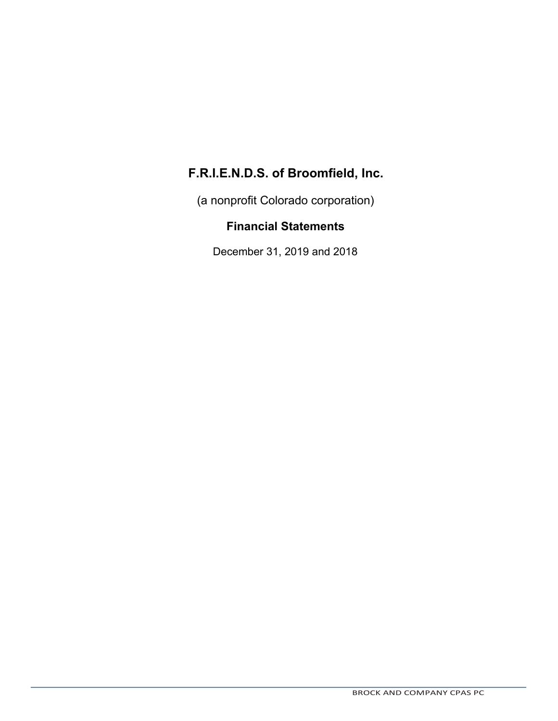(a nonprofit Colorado corporation)

## **Financial Statements**

December 31, 2019 and 2018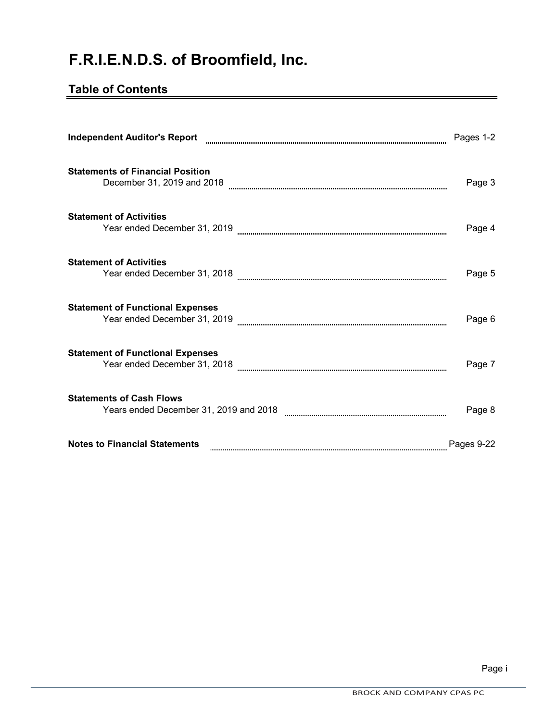## **Table of Contents**

| <b>Independent Auditor's Report</b>                                       | Pages 1-2  |
|---------------------------------------------------------------------------|------------|
| <b>Statements of Financial Position</b><br>December 31, 2019 and 2018     | Page 3     |
| <b>Statement of Activities</b><br>Year ended December 31, 2019            | Page 4     |
| <b>Statement of Activities</b><br>Year ended December 31, 2018            | Page 5     |
| <b>Statement of Functional Expenses</b><br>Year ended December 31, 2019   | Page 6     |
| <b>Statement of Functional Expenses</b><br>Year ended December 31, 2018   | Page 7     |
| <b>Statements of Cash Flows</b><br>Years ended December 31, 2019 and 2018 | Page 8     |
| <b>Notes to Financial Statements</b>                                      | Pages 9-22 |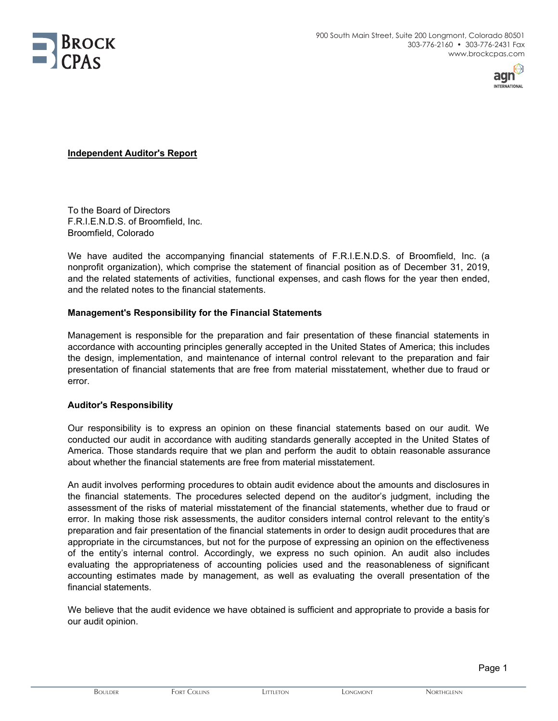



**Independent Auditor's Report**

To the Board of Directors F.R.I.E.N.D.S. of Broomfield, Inc. Broomfield, Colorado

We have audited the accompanying financial statements of F.R.I.E.N.D.S. of Broomfield, Inc. (a nonprofit organization), which comprise the statement of financial position as of December 31, 2019, and the related statements of activities, functional expenses, and cash flows for the year then ended, and the related notes to the financial statements.

### **Management's Responsibility for the Financial Statements**

Management is responsible for the preparation and fair presentation of these financial statements in accordance with accounting principles generally accepted in the United States of America; this includes the design, implementation, and maintenance of internal control relevant to the preparation and fair presentation of financial statements that are free from material misstatement, whether due to fraud or error.

#### **Auditor's Responsibility**

Our responsibility is to express an opinion on these financial statements based on our audit. We conducted our audit in accordance with auditing standards generally accepted in the United States of America. Those standards require that we plan and perform the audit to obtain reasonable assurance about whether the financial statements are free from material misstatement.

An audit involves performing procedures to obtain audit evidence about the amounts and disclosures in the financial statements. The procedures selected depend on the auditor's judgment, including the assessment of the risks of material misstatement of the financial statements, whether due to fraud or error. In making those risk assessments, the auditor considers internal control relevant to the entity's preparation and fair presentation of the financial statements in order to design audit procedures that are appropriate in the circumstances, but not for the purpose of expressing an opinion on the effectiveness of the entity's internal control. Accordingly, we express no such opinion. An audit also includes evaluating the appropriateness of accounting policies used and the reasonableness of significant accounting estimates made by management, as well as evaluating the overall presentation of the financial statements.

We believe that the audit evidence we have obtained is sufficient and appropriate to provide a basis for our audit opinion.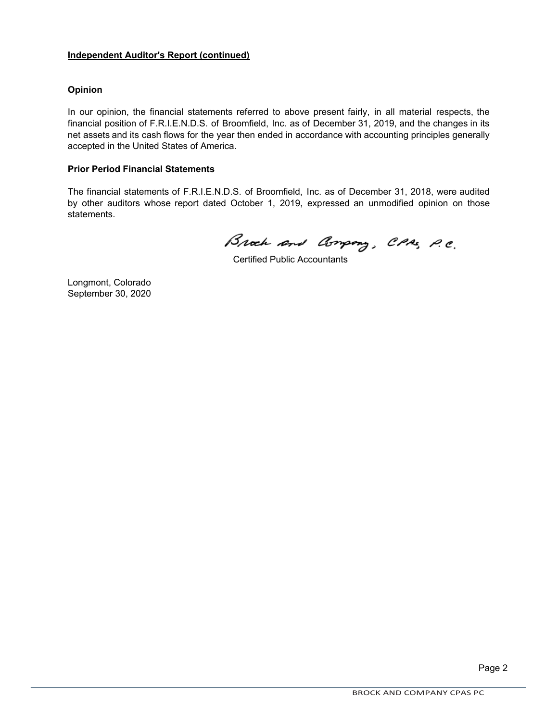### **Independent Auditor's Report (continued)**

### **Opinion**

In our opinion, the financial statements referred to above present fairly, in all material respects, the financial position of F.R.I.E.N.D.S. of Broomfield, Inc. as of December 31, 2019, and the changes in its net assets and its cash flows for the year then ended in accordance with accounting principles generally accepted in the United States of America.

#### **Prior Period Financial Statements**

The financial statements of F.R.I.E.N.D.S. of Broomfield, Inc. as of December 31, 2018, were audited by other auditors whose report dated October 1, 2019, expressed an unmodified opinion on those statements.

Broch and Company, CPAS, P.C.

Certified Public Accountants

Longmont, Colorado September 30, 2020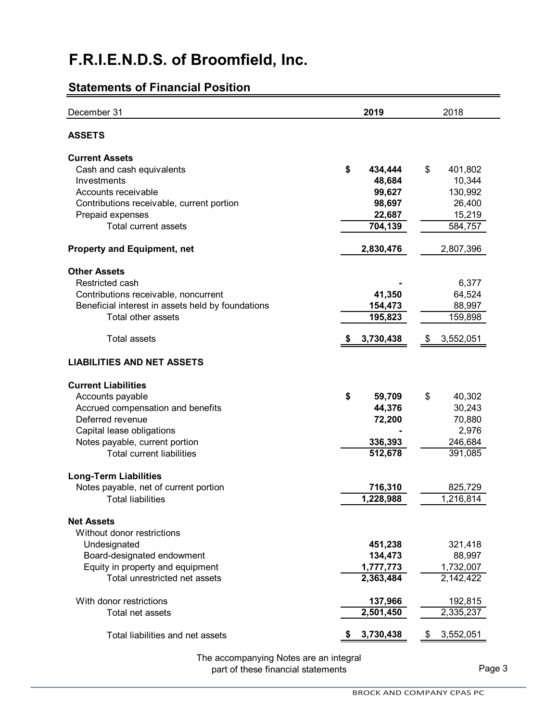## **Statements of Financial Position**

| December 31                                       | 2019          | 2018            |
|---------------------------------------------------|---------------|-----------------|
| <b>ASSETS</b>                                     |               |                 |
| <b>Current Assets</b>                             |               |                 |
| Cash and cash equivalents                         | \$<br>434,444 | \$<br>401,802   |
| Investments                                       | 48,684        | 10,344          |
| Accounts receivable                               | 99,627        | 130,992         |
| Contributions receivable, current portion         | 98,697        | 26,400          |
| Prepaid expenses                                  | 22,687        | 15,219          |
| Total current assets                              | 704,139       | 584,757         |
| <b>Property and Equipment, net</b>                | 2,830,476     | 2,807,396       |
| <b>Other Assets</b>                               |               |                 |
| Restricted cash                                   |               | 6,377           |
| Contributions receivable, noncurrent              | 41,350        | 64,524          |
| Beneficial interest in assets held by foundations | 154,473       | 88,997          |
| <b>Total other assets</b>                         | 195,823       | 159,898         |
| <b>Total assets</b>                               | 3,730,438     | 3,552,051<br>P. |
| <b>LIABILITIES AND NET ASSETS</b>                 |               |                 |
| <b>Current Liabilities</b>                        |               |                 |
| Accounts payable                                  | \$<br>59,709  | \$<br>40,302    |
| Accrued compensation and benefits                 | 44,376        | 30,243          |
| Deferred revenue                                  | 72,200        | 70,880          |
| Capital lease obligations                         |               | 2,976           |
| Notes payable, current portion                    | 336,393       | 246,684         |
| <b>Total current liabilities</b>                  | 512,678       | 391,085         |
| <b>Long-Term Liabilities</b>                      |               |                 |
| Notes payable, net of current portion             | 716,310       | 825,729         |
| <b>Total liabilities</b>                          | 1,228,988     | 1,216,814       |
| <b>Net Assets</b>                                 |               |                 |
| Without donor restrictions                        |               |                 |
| Undesignated                                      | 451,238       | 321,418         |
| Board-designated endowment                        | 134,473       | 88,997          |
| Equity in property and equipment                  | 1,777,773     | 1,732,007       |
| Total unrestricted net assets                     | 2,363,484     | 2,142,422       |
| With donor restrictions                           | 137,966       | 192,815         |
| Total net assets                                  | 2,501,450     | 2,335,237       |
| Total liabilities and net assets                  | 3,730,438     | 3,552,051<br>P. |

The accompanying Notes are an integral part of these financial statements **Page 3**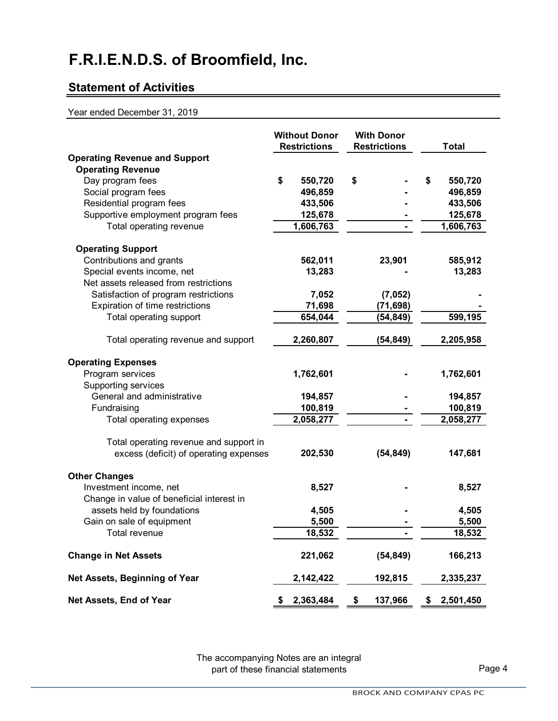### **Statement of Activities**

### Year ended December 31, 2019

|                                           | <b>Without Donor</b><br><b>Restrictions</b> | <b>With Donor</b><br><b>Restrictions</b> | <b>Total</b>  |
|-------------------------------------------|---------------------------------------------|------------------------------------------|---------------|
| <b>Operating Revenue and Support</b>      |                                             |                                          |               |
| <b>Operating Revenue</b>                  |                                             |                                          |               |
| Day program fees                          | \$<br>550,720                               | \$                                       | \$<br>550,720 |
| Social program fees                       | 496,859                                     |                                          | 496,859       |
| Residential program fees                  | 433,506                                     |                                          | 433,506       |
| Supportive employment program fees        | 125,678                                     |                                          | 125,678       |
| Total operating revenue                   | 1,606,763                                   |                                          | 1,606,763     |
| <b>Operating Support</b>                  |                                             |                                          |               |
| Contributions and grants                  | 562,011                                     | 23,901                                   | 585,912       |
| Special events income, net                | 13,283                                      |                                          | 13,283        |
| Net assets released from restrictions     |                                             |                                          |               |
| Satisfaction of program restrictions      | 7,052                                       | (7,052)                                  |               |
| Expiration of time restrictions           | 71,698                                      | (71, 698)                                |               |
| Total operating support                   | 654,044                                     | (54, 849)                                | 599,195       |
| Total operating revenue and support       | 2,260,807                                   | (54, 849)                                | 2,205,958     |
| <b>Operating Expenses</b>                 |                                             |                                          |               |
| Program services                          | 1,762,601                                   |                                          | 1,762,601     |
| Supporting services                       |                                             |                                          |               |
| General and administrative                | 194,857                                     |                                          | 194,857       |
| Fundraising                               | 100,819                                     |                                          | 100,819       |
| Total operating expenses                  | 2,058,277                                   |                                          | 2,058,277     |
| Total operating revenue and support in    |                                             |                                          |               |
| excess (deficit) of operating expenses    | 202,530                                     | (54, 849)                                | 147,681       |
| <b>Other Changes</b>                      |                                             |                                          |               |
| Investment income, net                    | 8,527                                       |                                          | 8,527         |
| Change in value of beneficial interest in |                                             |                                          |               |
| assets held by foundations                | 4,505                                       |                                          | 4,505         |
| Gain on sale of equipment                 | 5,500                                       |                                          | 5,500         |
| Total revenue                             | 18,532                                      |                                          | 18,532        |
| <b>Change in Net Assets</b>               | 221,062                                     | (54, 849)                                | 166,213       |
| Net Assets, Beginning of Year             | 2,142,422                                   | 192,815                                  | 2,335,237     |
| Net Assets, End of Year                   | \$2,363,484                                 | \$<br>137,966                            | \$2,501,450   |

The accompanying Notes are an integral part of these financial statements **Page 4**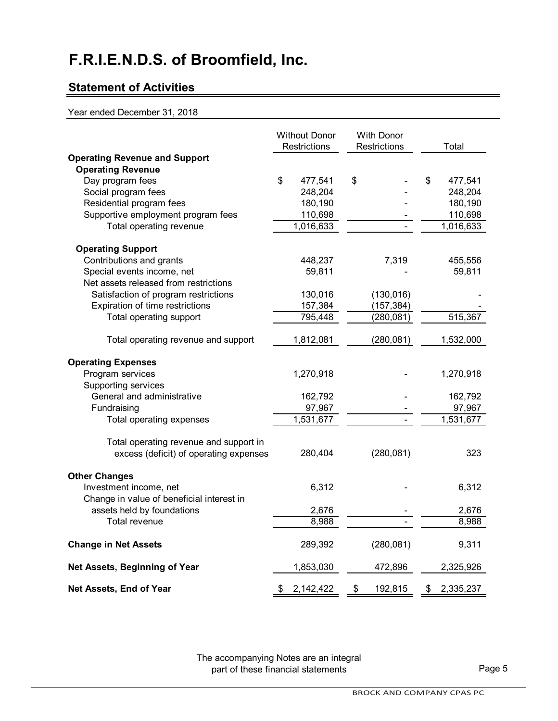### **Statement of Activities**

### Year ended December 31, 2018

| <b>Operating Revenue and Support</b>                                             | <b>Without Donor</b><br>Restrictions | <b>With Donor</b><br>Restrictions | Total           |
|----------------------------------------------------------------------------------|--------------------------------------|-----------------------------------|-----------------|
| <b>Operating Revenue</b>                                                         |                                      |                                   |                 |
| Day program fees                                                                 | \$<br>477,541                        | \$                                | \$<br>477,541   |
| Social program fees                                                              | 248,204                              |                                   | 248,204         |
| Residential program fees                                                         | 180,190                              |                                   | 180,190         |
| Supportive employment program fees                                               | 110,698                              |                                   | 110,698         |
| Total operating revenue                                                          | 1,016,633                            |                                   | 1,016,633       |
| <b>Operating Support</b>                                                         |                                      |                                   |                 |
| Contributions and grants                                                         | 448,237                              | 7,319                             | 455,556         |
| Special events income, net                                                       | 59,811                               |                                   | 59,811          |
| Net assets released from restrictions                                            |                                      |                                   |                 |
| Satisfaction of program restrictions                                             | 130,016                              | (130, 016)                        |                 |
| Expiration of time restrictions                                                  | 157,384                              | (157, 384)                        |                 |
| Total operating support                                                          | 795,448                              | (280, 081)                        | 515,367         |
| Total operating revenue and support                                              | 1,812,081                            | (280, 081)                        | 1,532,000       |
| <b>Operating Expenses</b>                                                        |                                      |                                   |                 |
| Program services                                                                 | 1,270,918                            |                                   | 1,270,918       |
| Supporting services                                                              |                                      |                                   |                 |
| General and administrative                                                       | 162,792                              |                                   | 162,792         |
| Fundraising                                                                      | 97,967                               |                                   | 97,967          |
| Total operating expenses                                                         | 1,531,677                            |                                   | 1,531,677       |
| Total operating revenue and support in<br>excess (deficit) of operating expenses | 280,404                              | (280, 081)                        | 323             |
| <b>Other Changes</b><br>Investment income, net                                   | 6,312                                |                                   | 6,312           |
| Change in value of beneficial interest in                                        |                                      |                                   |                 |
| assets held by foundations                                                       | 2,676                                |                                   | 2,676           |
| Total revenue                                                                    | 8,988                                |                                   | 8,988           |
| <b>Change in Net Assets</b>                                                      | 289,392                              | (280, 081)                        | 9,311           |
| Net Assets, Beginning of Year                                                    | 1,853,030                            | 472,896                           | 2,325,926       |
| Net Assets, End of Year                                                          | \$<br>2,142,422                      | \$<br>192,815                     | \$<br>2,335,237 |

The accompanying Notes are an integral part of these financial statements **Page 5**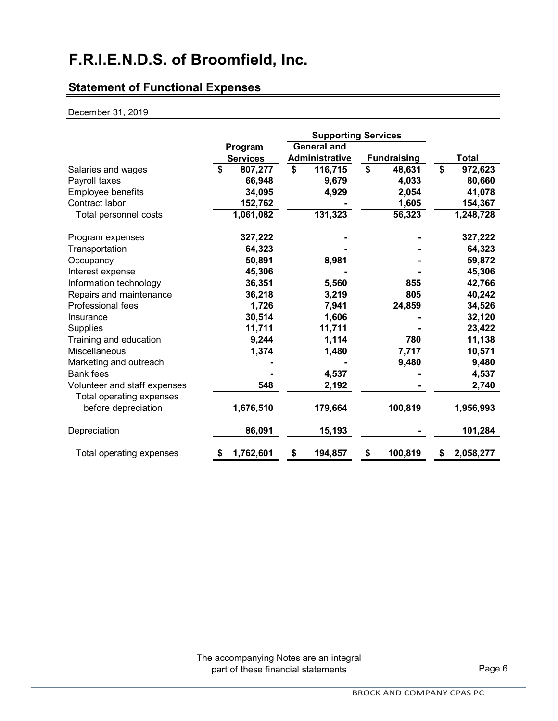## **Statement of Functional Expenses**

### December 31, 2019

|                              | <b>Supporting Services</b> |           |    |                    |                    |                 |
|------------------------------|----------------------------|-----------|----|--------------------|--------------------|-----------------|
|                              | Program                    |           |    | <b>General and</b> |                    |                 |
|                              | <b>Services</b>            |           |    | Administrative     | <b>Fundraising</b> | <b>Total</b>    |
| Salaries and wages           | \$                         | 807,277   | \$ | 116,715            | \$<br>48,631       | \$<br>972,623   |
| Payroll taxes                |                            | 66,948    |    | 9,679              | 4,033              | 80,660          |
| Employee benefits            |                            | 34,095    |    | 4,929              | 2,054              | 41,078          |
| Contract labor               |                            | 152,762   |    |                    | 1,605              | 154,367         |
| Total personnel costs        |                            | 1,061,082 |    | 131,323            | 56,323             | 1,248,728       |
| Program expenses             |                            | 327,222   |    |                    |                    | 327,222         |
| Transportation               |                            | 64,323    |    |                    |                    | 64,323          |
| Occupancy                    |                            | 50,891    |    | 8,981              |                    | 59,872          |
| Interest expense             |                            | 45,306    |    |                    |                    | 45,306          |
| Information technology       |                            | 36,351    |    | 5,560              | 855                | 42,766          |
| Repairs and maintenance      |                            | 36,218    |    | 3,219              | 805                | 40,242          |
| <b>Professional fees</b>     |                            | 1,726     |    | 7,941              | 24,859             | 34,526          |
| Insurance                    |                            | 30,514    |    | 1,606              |                    | 32,120          |
| <b>Supplies</b>              |                            | 11,711    |    | 11,711             |                    | 23,422          |
| Training and education       |                            | 9,244     |    | 1,114              | 780                | 11,138          |
| Miscellaneous                |                            | 1,374     |    | 1,480              | 7,717              | 10,571          |
| Marketing and outreach       |                            |           |    |                    | 9,480              | 9,480           |
| <b>Bank fees</b>             |                            |           |    | 4,537              |                    | 4,537           |
| Volunteer and staff expenses |                            | 548       |    | 2,192              |                    | 2,740           |
| Total operating expenses     |                            |           |    |                    |                    |                 |
| before depreciation          |                            | 1,676,510 |    | 179,664            | 100,819            | 1,956,993       |
| Depreciation                 |                            | 86,091    |    | 15,193             |                    | 101,284         |
| Total operating expenses     | \$                         | 1,762,601 | \$ | 194,857            | \$<br>100,819      | \$<br>2,058,277 |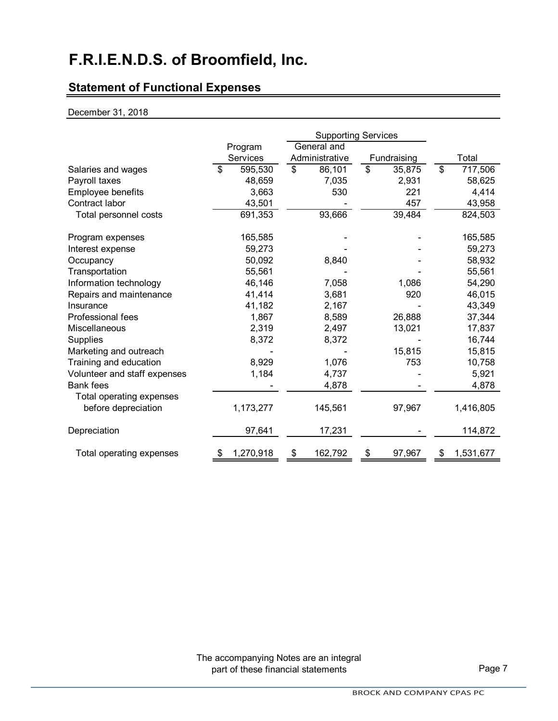## **Statement of Functional Expenses**

### December 31, 2018

|                              |                 | <b>Supporting Services</b> |                |    |             |                 |
|------------------------------|-----------------|----------------------------|----------------|----|-------------|-----------------|
|                              | Program         |                            | General and    |    |             |                 |
|                              | <b>Services</b> |                            | Administrative |    | Fundraising | Total           |
| Salaries and wages           | \$<br>595,530   | \$                         | 86,101         | \$ | 35,875      | \$<br>717,506   |
| Payroll taxes                | 48,659          |                            | 7,035          |    | 2,931       | 58,625          |
| Employee benefits            | 3,663           |                            | 530            |    | 221         | 4,414           |
| Contract labor               | 43,501          |                            |                |    | 457         | 43,958          |
| Total personnel costs        | 691,353         |                            | 93,666         |    | 39,484      | 824,503         |
| Program expenses             | 165,585         |                            |                |    |             | 165,585         |
| Interest expense             | 59,273          |                            |                |    |             | 59,273          |
| Occupancy                    | 50,092          |                            | 8,840          |    |             | 58,932          |
| Transportation               | 55,561          |                            |                |    |             | 55,561          |
| Information technology       | 46,146          |                            | 7,058          |    | 1,086       | 54,290          |
| Repairs and maintenance      | 41,414          |                            | 3,681          |    | 920         | 46,015          |
| Insurance                    | 41,182          |                            | 2,167          |    |             | 43,349          |
| Professional fees            | 1,867           |                            | 8,589          |    | 26,888      | 37,344          |
| Miscellaneous                | 2,319           |                            | 2,497          |    | 13,021      | 17,837          |
| Supplies                     | 8,372           |                            | 8,372          |    |             | 16,744          |
| Marketing and outreach       |                 |                            |                |    | 15,815      | 15,815          |
| Training and education       | 8,929           |                            | 1,076          |    | 753         | 10,758          |
| Volunteer and staff expenses | 1,184           |                            | 4,737          |    |             | 5,921           |
| <b>Bank fees</b>             |                 |                            | 4,878          |    |             | 4,878           |
| Total operating expenses     |                 |                            |                |    |             |                 |
| before depreciation          | 1,173,277       |                            | 145,561        |    | 97,967      | 1,416,805       |
| Depreciation                 | 97,641          |                            | 17,231         |    |             | 114,872         |
| Total operating expenses     | \$<br>1,270,918 | \$                         | 162,792        | \$ | 97,967      | \$<br>1,531,677 |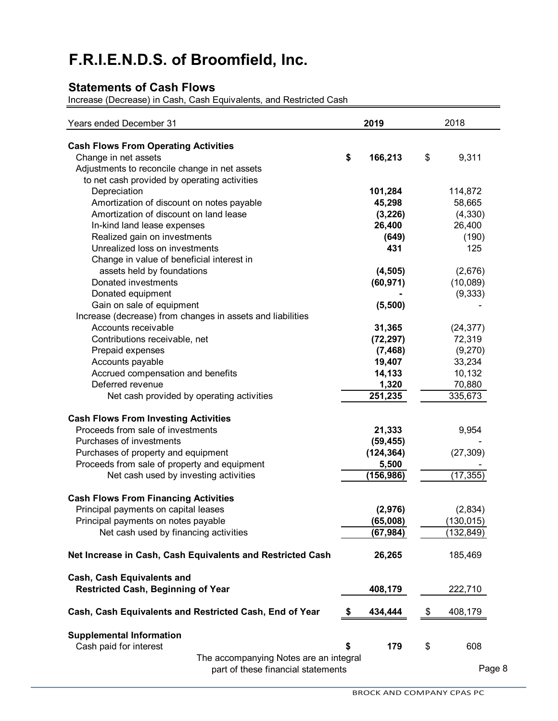## **Statements of Cash Flows**

Increase (Decrease) in Cash, Cash Equivalents, and Restricted Cash

| <b>Years ended December 31</b>                             | 2019          | 2018 |            |  |
|------------------------------------------------------------|---------------|------|------------|--|
| <b>Cash Flows From Operating Activities</b>                |               |      |            |  |
| Change in net assets                                       | \$<br>166,213 | \$   | 9,311      |  |
| Adjustments to reconcile change in net assets              |               |      |            |  |
| to net cash provided by operating activities               |               |      |            |  |
| Depreciation                                               | 101,284       |      | 114,872    |  |
| Amortization of discount on notes payable                  | 45,298        |      | 58,665     |  |
| Amortization of discount on land lease                     | (3, 226)      |      | (4, 330)   |  |
| In-kind land lease expenses                                | 26,400        |      | 26,400     |  |
| Realized gain on investments                               | (649)         |      | (190)      |  |
| Unrealized loss on investments                             | 431           |      | 125        |  |
| Change in value of beneficial interest in                  |               |      |            |  |
| assets held by foundations                                 | (4, 505)      |      | (2,676)    |  |
| Donated investments                                        | (60, 971)     |      | (10,089)   |  |
| Donated equipment                                          |               |      | (9, 333)   |  |
| Gain on sale of equipment                                  | (5,500)       |      |            |  |
| Increase (decrease) from changes in assets and liabilities |               |      |            |  |
| Accounts receivable                                        | 31,365        |      | (24, 377)  |  |
| Contributions receivable, net                              | (72, 297)     |      | 72,319     |  |
| Prepaid expenses                                           | (7, 468)      |      | (9,270)    |  |
| Accounts payable                                           | 19,407        |      | 33,234     |  |
| Accrued compensation and benefits                          | 14,133        |      | 10,132     |  |
| Deferred revenue                                           | 1,320         |      | 70,880     |  |
| Net cash provided by operating activities                  | 251,235       |      | 335,673    |  |
|                                                            |               |      |            |  |
| <b>Cash Flows From Investing Activities</b>                |               |      |            |  |
| Proceeds from sale of investments                          | 21,333        |      | 9,954      |  |
| Purchases of investments                                   | (59, 455)     |      |            |  |
| Purchases of property and equipment                        | (124, 364)    |      | (27, 309)  |  |
| Proceeds from sale of property and equipment               | 5,500         |      |            |  |
| Net cash used by investing activities                      | (156, 986)    |      | (17, 355)  |  |
|                                                            |               |      |            |  |
| <b>Cash Flows From Financing Activities</b>                |               |      |            |  |
| Principal payments on capital leases                       | (2,976)       |      | (2,834)    |  |
| Principal payments on notes payable                        | (65,008)      |      | (130, 015) |  |
| Net cash used by financing activities                      | (67, 984)     |      | (132, 849) |  |
| Net Increase in Cash, Cash Equivalents and Restricted Cash | 26,265        |      | 185,469    |  |
| Cash, Cash Equivalents and                                 |               |      |            |  |
| <b>Restricted Cash, Beginning of Year</b>                  | 408,179       |      | 222,710    |  |
|                                                            |               |      |            |  |
| Cash, Cash Equivalents and Restricted Cash, End of Year    | 434,444<br>\$ | \$   | 408,179    |  |
| <b>Supplemental Information</b>                            |               |      |            |  |
| Cash paid for interest                                     | \$<br>179     | \$   | 608        |  |
| The accompanying Notes are an integral                     |               |      |            |  |
| part of these financial statements                         |               |      | Page 8     |  |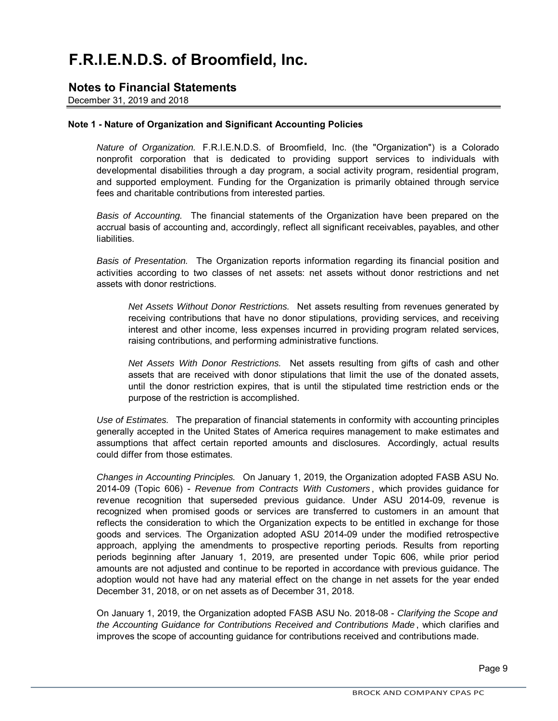### **Notes to Financial Statements**

December 31, 2019 and 2018

### **Note 1 - Nature of Organization and Significant Accounting Policies**

*Nature of Organization.* F.R.I.E.N.D.S. of Broomfield, Inc. (the "Organization") is a Colorado nonprofit corporation that is dedicated to providing support services to individuals with developmental disabilities through a day program, a social activity program, residential program, and supported employment. Funding for the Organization is primarily obtained through service fees and charitable contributions from interested parties.

*Basis of Accounting.* The financial statements of the Organization have been prepared on the accrual basis of accounting and, accordingly, reflect all significant receivables, payables, and other liabilities.

*Basis of Presentation.* The Organization reports information regarding its financial position and activities according to two classes of net assets: net assets without donor restrictions and net assets with donor restrictions.

*Net Assets Without Donor Restrictions.* Net assets resulting from revenues generated by receiving contributions that have no donor stipulations, providing services, and receiving interest and other income, less expenses incurred in providing program related services, raising contributions, and performing administrative functions.

*Net Assets With Donor Restrictions.* Net assets resulting from gifts of cash and other assets that are received with donor stipulations that limit the use of the donated assets, until the donor restriction expires, that is until the stipulated time restriction ends or the purpose of the restriction is accomplished.

*Use of Estimates.* The preparation of financial statements in conformity with accounting principles generally accepted in the United States of America requires management to make estimates and assumptions that affect certain reported amounts and disclosures. Accordingly, actual results could differ from those estimates.

*Changes in Accounting Principles.* On January 1, 2019, the Organization adopted FASB ASU No. 2014-09 (Topic 606) - *Revenue from Contracts With Customers* , which provides guidance for revenue recognition that superseded previous guidance. Under ASU 2014-09, revenue is recognized when promised goods or services are transferred to customers in an amount that reflects the consideration to which the Organization expects to be entitled in exchange for those goods and services. The Organization adopted ASU 2014-09 under the modified retrospective approach, applying the amendments to prospective reporting periods. Results from reporting periods beginning after January 1, 2019, are presented under Topic 606, while prior period amounts are not adjusted and continue to be reported in accordance with previous guidance. The adoption would not have had any material effect on the change in net assets for the year ended December 31, 2018, or on net assets as of December 31, 2018.

On January 1, 2019, the Organization adopted FASB ASU No. 2018-08 - *Clarifying the Scope and the Accounting Guidance for Contributions Received and Contributions Made* , which clarifies and improves the scope of accounting guidance for contributions received and contributions made.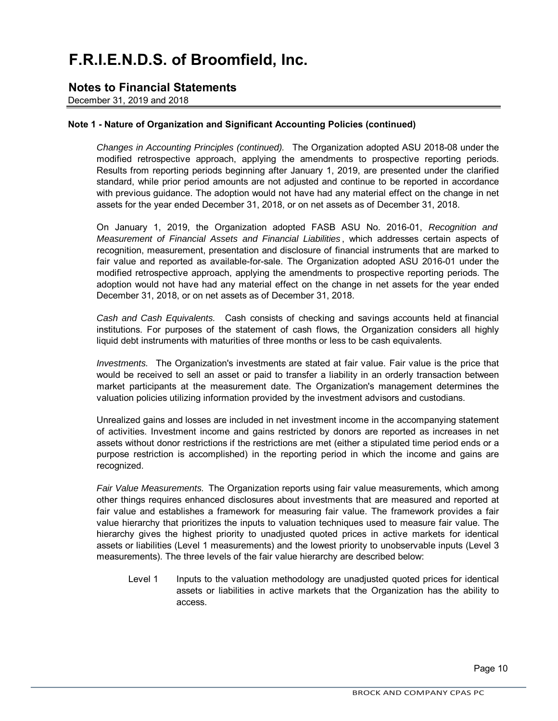### **Notes to Financial Statements**

December 31, 2019 and 2018

### **Note 1 - Nature of Organization and Significant Accounting Policies (continued)**

*Changes in Accounting Principles (continued).* The Organization adopted ASU 2018-08 under the modified retrospective approach, applying the amendments to prospective reporting periods. Results from reporting periods beginning after January 1, 2019, are presented under the clarified standard, while prior period amounts are not adjusted and continue to be reported in accordance with previous guidance. The adoption would not have had any material effect on the change in net assets for the year ended December 31, 2018, or on net assets as of December 31, 2018.

On January 1, 2019, the Organization adopted FASB ASU No. 2016-01, *Recognition and Measurement of Financial Assets and Financial Liabilities* , which addresses certain aspects of recognition, measurement, presentation and disclosure of financial instruments that are marked to fair value and reported as available-for-sale. The Organization adopted ASU 2016-01 under the modified retrospective approach, applying the amendments to prospective reporting periods. The adoption would not have had any material effect on the change in net assets for the year ended December 31, 2018, or on net assets as of December 31, 2018.

*Cash and Cash Equivalents.* Cash consists of checking and savings accounts held at financial institutions. For purposes of the statement of cash flows, the Organization considers all highly liquid debt instruments with maturities of three months or less to be cash equivalents.

*Investments.* The Organization's investments are stated at fair value. Fair value is the price that would be received to sell an asset or paid to transfer a liability in an orderly transaction between market participants at the measurement date. The Organization's management determines the valuation policies utilizing information provided by the investment advisors and custodians.

Unrealized gains and losses are included in net investment income in the accompanying statement of activities. Investment income and gains restricted by donors are reported as increases in net assets without donor restrictions if the restrictions are met (either a stipulated time period ends or a purpose restriction is accomplished) in the reporting period in which the income and gains are recognized.

*Fair Value Measurements.* The Organization reports using fair value measurements, which among other things requires enhanced disclosures about investments that are measured and reported at fair value and establishes a framework for measuring fair value. The framework provides a fair value hierarchy that prioritizes the inputs to valuation techniques used to measure fair value. The hierarchy gives the highest priority to unadjusted quoted prices in active markets for identical assets or liabilities (Level 1 measurements) and the lowest priority to unobservable inputs (Level 3 measurements). The three levels of the fair value hierarchy are described below:

Level 1 Inputs to the valuation methodology are unadjusted quoted prices for identical assets or liabilities in active markets that the Organization has the ability to access.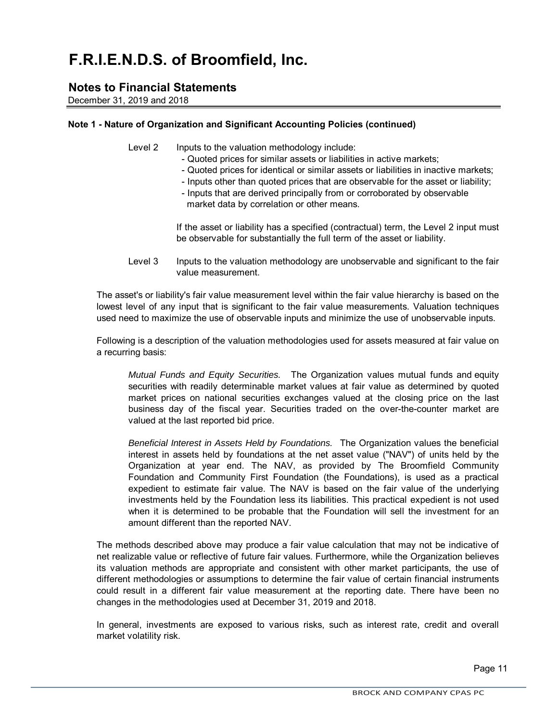### **Notes to Financial Statements**

December 31, 2019 and 2018

### **Note 1 - Nature of Organization and Significant Accounting Policies (continued)**

- Level 2 Inputs to the valuation methodology include:
	- Quoted prices for similar assets or liabilities in active markets;
	- Quoted prices for identical or similar assets or liabilities in inactive markets;
	- Inputs other than quoted prices that are observable for the asset or liability;
	- market data by correlation or other means. - Inputs that are derived principally from or corroborated by observable

If the asset or liability has a specified (contractual) term, the Level 2 input must be observable for substantially the full term of the asset or liability.

Level 3 Inputs to the valuation methodology are unobservable and significant to the fair value measurement.

The asset's or liability's fair value measurement level within the fair value hierarchy is based on the lowest level of any input that is significant to the fair value measurements. Valuation techniques used need to maximize the use of observable inputs and minimize the use of unobservable inputs.

Following is a description of the valuation methodologies used for assets measured at fair value on a recurring basis:

*Mutual Funds and Equity Securities.* The Organization values mutual funds and equity securities with readily determinable market values at fair value as determined by quoted market prices on national securities exchanges valued at the closing price on the last business day of the fiscal year. Securities traded on the over-the-counter market are valued at the last reported bid price.

*Beneficial Interest in Assets Held by Foundations.* The Organization values the beneficial interest in assets held by foundations at the net asset value ("NAV") of units held by the Organization at year end. The NAV, as provided by The Broomfield Community Foundation and Community First Foundation (the Foundations), is used as a practical expedient to estimate fair value. The NAV is based on the fair value of the underlying investments held by the Foundation less its liabilities. This practical expedient is not used when it is determined to be probable that the Foundation will sell the investment for an amount different than the reported NAV.

The methods described above may produce a fair value calculation that may not be indicative of net realizable value or reflective of future fair values. Furthermore, while the Organization believes its valuation methods are appropriate and consistent with other market participants, the use of different methodologies or assumptions to determine the fair value of certain financial instruments could result in a different fair value measurement at the reporting date. There have been no changes in the methodologies used at December 31, 2019 and 2018.

In general, investments are exposed to various risks, such as interest rate, credit and overall market volatility risk.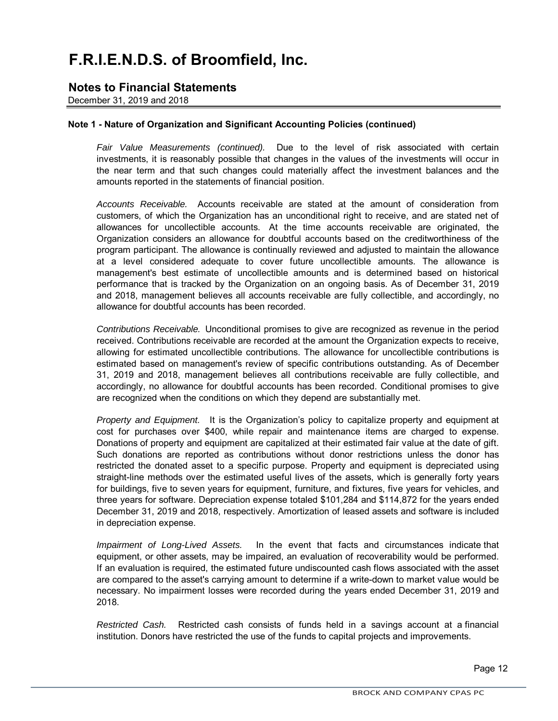### **Notes to Financial Statements**

December 31, 2019 and 2018

### **Note 1 - Nature of Organization and Significant Accounting Policies (continued)**

*Fair Value Measurements (continued).* Due to the level of risk associated with certain investments, it is reasonably possible that changes in the values of the investments will occur in the near term and that such changes could materially affect the investment balances and the amounts reported in the statements of financial position.

*Accounts Receivable.* Accounts receivable are stated at the amount of consideration from customers, of which the Organization has an unconditional right to receive, and are stated net of allowances for uncollectible accounts. At the time accounts receivable are originated, the Organization considers an allowance for doubtful accounts based on the creditworthiness of the program participant. The allowance is continually reviewed and adjusted to maintain the allowance at a level considered adequate to cover future uncollectible amounts. The allowance is management's best estimate of uncollectible amounts and is determined based on historical performance that is tracked by the Organization on an ongoing basis. As of December 31, 2019 and 2018, management believes all accounts receivable are fully collectible, and accordingly, no allowance for doubtful accounts has been recorded.

*Contributions Receivable.* Unconditional promises to give are recognized as revenue in the period received. Contributions receivable are recorded at the amount the Organization expects to receive, allowing for estimated uncollectible contributions. The allowance for uncollectible contributions is estimated based on management's review of specific contributions outstanding. As of December 31, 2019 and 2018, management believes all contributions receivable are fully collectible, and accordingly, no allowance for doubtful accounts has been recorded. Conditional promises to give are recognized when the conditions on which they depend are substantially met.

*Property and Equipment.* It is the Organization's policy to capitalize property and equipment at cost for purchases over \$400, while repair and maintenance items are charged to expense. Donations of property and equipment are capitalized at their estimated fair value at the date of gift. Such donations are reported as contributions without donor restrictions unless the donor has restricted the donated asset to a specific purpose. Property and equipment is depreciated using straight-line methods over the estimated useful lives of the assets, which is generally forty years for buildings, five to seven years for equipment, furniture, and fixtures, five years for vehicles, and three years for software. Depreciation expense totaled \$101,284 and \$114,872 for the years ended December 31, 2019 and 2018, respectively. Amortization of leased assets and software is included in depreciation expense.

*Impairment of Long-Lived Assets.* In the event that facts and circumstances indicate that equipment, or other assets, may be impaired, an evaluation of recoverability would be performed. If an evaluation is required, the estimated future undiscounted cash flows associated with the asset are compared to the asset's carrying amount to determine if a write-down to market value would be necessary. No impairment losses were recorded during the years ended December 31, 2019 and 2018.

*Restricted Cash.* Restricted cash consists of funds held in a savings account at a financial institution. Donors have restricted the use of the funds to capital projects and improvements.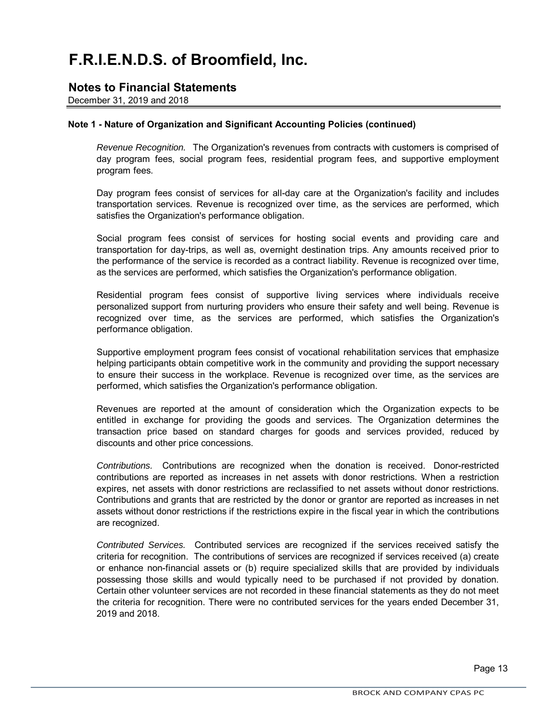### **Notes to Financial Statements**

December 31, 2019 and 2018

#### **Note 1 - Nature of Organization and Significant Accounting Policies (continued)**

*Revenue Recognition.* The Organization's revenues from contracts with customers is comprised of day program fees, social program fees, residential program fees, and supportive employment program fees.

Day program fees consist of services for all-day care at the Organization's facility and includes transportation services. Revenue is recognized over time, as the services are performed, which satisfies the Organization's performance obligation.

Social program fees consist of services for hosting social events and providing care and transportation for day-trips, as well as, overnight destination trips. Any amounts received prior to the performance of the service is recorded as a contract liability. Revenue is recognized over time, as the services are performed, which satisfies the Organization's performance obligation.

Residential program fees consist of supportive living services where individuals receive personalized support from nurturing providers who ensure their safety and well being. Revenue is recognized over time, as the services are performed, which satisfies the Organization's performance obligation.

Supportive employment program fees consist of vocational rehabilitation services that emphasize helping participants obtain competitive work in the community and providing the support necessary to ensure their success in the workplace. Revenue is recognized over time, as the services are performed, which satisfies the Organization's performance obligation.

Revenues are reported at the amount of consideration which the Organization expects to be entitled in exchange for providing the goods and services. The Organization determines the transaction price based on standard charges for goods and services provided, reduced by discounts and other price concessions.

*Contributions.* Contributions are recognized when the donation is received. Donor-restricted contributions are reported as increases in net assets with donor restrictions. When a restriction expires, net assets with donor restrictions are reclassified to net assets without donor restrictions. Contributions and grants that are restricted by the donor or grantor are reported as increases in net assets without donor restrictions if the restrictions expire in the fiscal year in which the contributions are recognized.

*Contributed Services.* Contributed services are recognized if the services received satisfy the criteria for recognition. The contributions of services are recognized if services received (a) create or enhance non-financial assets or (b) require specialized skills that are provided by individuals possessing those skills and would typically need to be purchased if not provided by donation. Certain other volunteer services are not recorded in these financial statements as they do not meet the criteria for recognition. There were no contributed services for the years ended December 31, 2019 and 2018.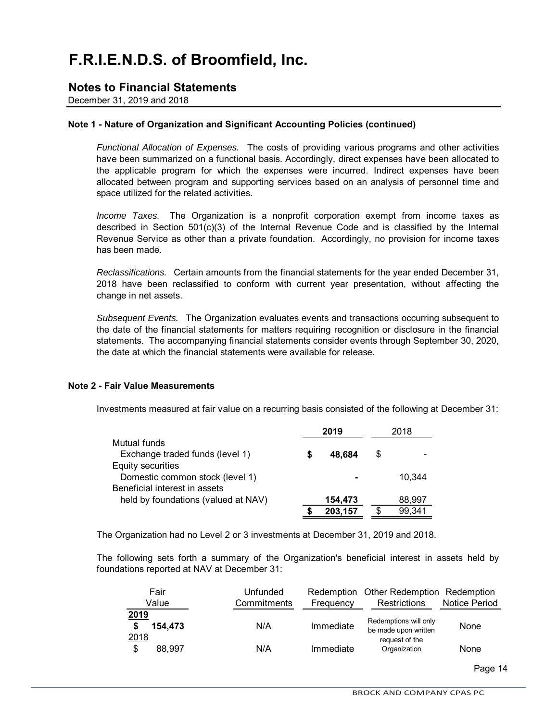### **Notes to Financial Statements**

December 31, 2019 and 2018

### **Note 1 - Nature of Organization and Significant Accounting Policies (continued)**

*Functional Allocation of Expenses.* The costs of providing various programs and other activities have been summarized on a functional basis. Accordingly, direct expenses have been allocated to the applicable program for which the expenses were incurred. Indirect expenses have been allocated between program and supporting services based on an analysis of personnel time and space utilized for the related activities.

*Income Taxes.* The Organization is a nonprofit corporation exempt from income taxes as described in Section 501(c)(3) of the Internal Revenue Code and is classified by the Internal Revenue Service as other than a private foundation. Accordingly, no provision for income taxes has been made.

*Reclassifications.* Certain amounts from the financial statements for the year ended December 31, 2018 have been reclassified to conform with current year presentation, without affecting the change in net assets.

*Subsequent Events.* The Organization evaluates events and transactions occurring subsequent to the date of the financial statements for matters requiring recognition or disclosure in the financial statements. The accompanying financial statements consider events through September 30, 2020, the date at which the financial statements were available for release.

### **Note 2 - Fair Value Measurements**

Investments measured at fair value on a recurring basis consisted of the following at December 31:

|                                     | 2019 |         |   | 2018   |  |
|-------------------------------------|------|---------|---|--------|--|
| Mutual funds                        |      |         |   |        |  |
| Exchange traded funds (level 1)     | S    | 48.684  | S |        |  |
| <b>Equity securities</b>            |      |         |   |        |  |
| Domestic common stock (level 1)     |      |         |   | 10.344 |  |
| Beneficial interest in assets       |      |         |   |        |  |
| held by foundations (valued at NAV) |      | 154,473 |   | 88,997 |  |
|                                     |      | 203,157 |   | 99,341 |  |

The Organization had no Level 2 or 3 investments at December 31, 2019 and 2018.

The following sets forth a summary of the Organization's beneficial interest in assets held by foundations reported at NAV at December 31:

|                   | Fair    | Unfunded    |           | Redemption Other Redemption Redemption                          |                      |
|-------------------|---------|-------------|-----------|-----------------------------------------------------------------|----------------------|
|                   | Value   | Commitments | Frequency | Restrictions                                                    | <b>Notice Period</b> |
| 2019<br>S<br>2018 | 154.473 | N/A         | Immediate | Redemptions will only<br>be made upon written<br>request of the | None                 |
| \$                | 88.997  | N/A         | Immediate | Organization                                                    | None                 |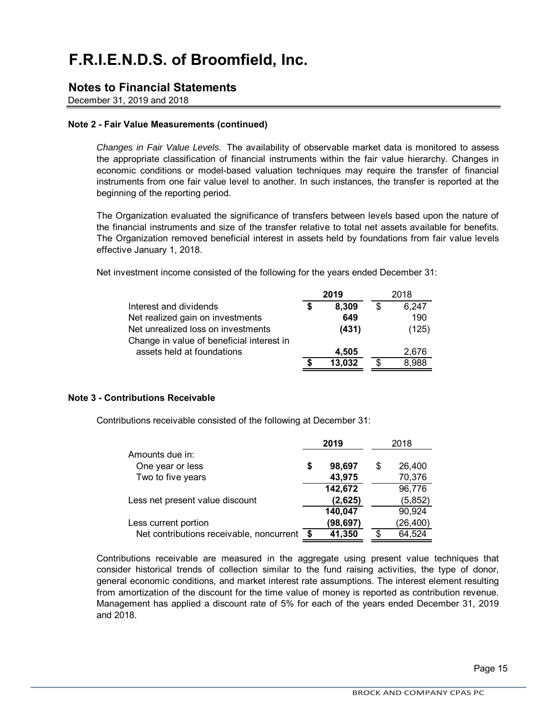### **Notes to Financial Statements**

December 31, 2019 and 2018

### **Note 2 - Fair Value Measurements (continued)**

*Changes in Fair Value Levels.* The availability of observable market data is monitored to assess the appropriate classification of financial instruments within the fair value hierarchy. Changes in economic conditions or model-based valuation techniques may require the transfer of financial instruments from one fair value level to another. In such instances, the transfer is reported at the beginning of the reporting period.

The Organization evaluated the significance of transfers between levels based upon the nature of the financial instruments and size of the transfer relative to total net assets available for benefits. The Organization removed beneficial interest in assets held by foundations from fair value levels effective January 1, 2018.

Net investment income consisted of the following for the years ended December 31:

|                                           | 2019   |   | 2018  |
|-------------------------------------------|--------|---|-------|
| Interest and dividends                    | 8,309  | S | 6.247 |
| Net realized gain on investments          | 649    |   | 190   |
| Net unrealized loss on investments        | (431)  |   | (125) |
| Change in value of beneficial interest in |        |   |       |
| assets held at foundations                | 4,505  |   | 2,676 |
|                                           | 13,032 |   | 8.988 |

### **Note 3 - Contributions Receivable**

Contributions receivable consisted of the following at December 31:

|                                          | 2019 |           | 2018 |           |  |
|------------------------------------------|------|-----------|------|-----------|--|
| Amounts due in:                          |      |           |      |           |  |
| One year or less                         | \$   | 98,697    | S    | 26,400    |  |
| Two to five years                        |      | 43,975    |      | 70,376    |  |
|                                          |      | 142,672   |      | 96,776    |  |
| Less net present value discount          |      | (2,625)   |      | (5, 852)  |  |
|                                          |      | 140,047   |      | 90,924    |  |
| Less current portion                     |      | (98, 697) |      | (26, 400) |  |
| Net contributions receivable, noncurrent |      | 41,350    | œ    | 64,524    |  |

Contributions receivable are measured in the aggregate using present value techniques that consider historical trends of collection similar to the fund raising activities, the type of donor, general economic conditions, and market interest rate assumptions. The interest element resulting from amortization of the discount for the time value of money is reported as contribution revenue. Management has applied a discount rate of 5% for each of the years ended December 31, 2019 and 2018.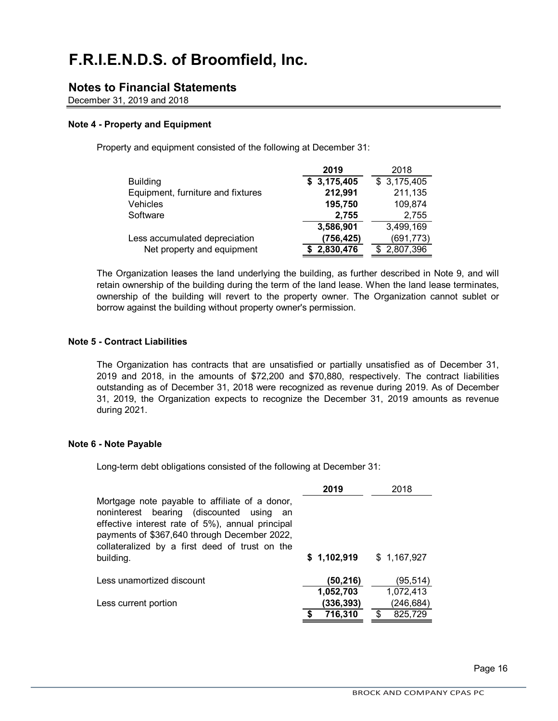### **Notes to Financial Statements**

December 31, 2019 and 2018

#### **Note 4 - Property and Equipment**

Property and equipment consisted of the following at December 31:

|                                   | 2019        | 2018        |
|-----------------------------------|-------------|-------------|
| <b>Building</b>                   | \$3,175,405 | \$3,175,405 |
| Equipment, furniture and fixtures | 212,991     | 211,135     |
| Vehicles                          | 195,750     | 109,874     |
| Software                          | 2,755       | 2,755       |
|                                   | 3,586,901   | 3,499,169   |
| Less accumulated depreciation     | (756, 425)  | (691,773)   |
| Net property and equipment        | 2,830,476   | 2,807,396   |

The Organization leases the land underlying the building, as further described in Note 9, and will retain ownership of the building during the term of the land lease. When the land lease terminates, ownership of the building will revert to the property owner. The Organization cannot sublet or borrow against the building without property owner's permission.

#### **Note 5 - Contract Liabilities**

The Organization has contracts that are unsatisfied or partially unsatisfied as of December 31, 2019 and 2018, in the amounts of \$72,200 and \$70,880, respectively. The contract liabilities outstanding as of December 31, 2018 were recognized as revenue during 2019. As of December 31, 2019, the Organization expects to recognize the December 31, 2019 amounts as revenue during 2021.

#### **Note 6 - Note Payable**

Long-term debt obligations consisted of the following at December 31:

|                                                                                                                                                                                                                                                                    | 2019        | 2018          |
|--------------------------------------------------------------------------------------------------------------------------------------------------------------------------------------------------------------------------------------------------------------------|-------------|---------------|
| Mortgage note payable to affiliate of a donor,<br>noninterest bearing (discounted using<br>an a<br>effective interest rate of 5%), annual principal<br>payments of \$367,640 through December 2022,<br>collateralized by a first deed of trust on the<br>building. | \$1,102,919 | \$1,167,927   |
|                                                                                                                                                                                                                                                                    |             |               |
| Less unamortized discount                                                                                                                                                                                                                                          | (50,216)    | (95, 514)     |
|                                                                                                                                                                                                                                                                    | 1,052,703   | 1,072,413     |
| Less current portion                                                                                                                                                                                                                                               | (336, 393)  | (246,684)     |
|                                                                                                                                                                                                                                                                    | 716,310     | 825,729<br>\$ |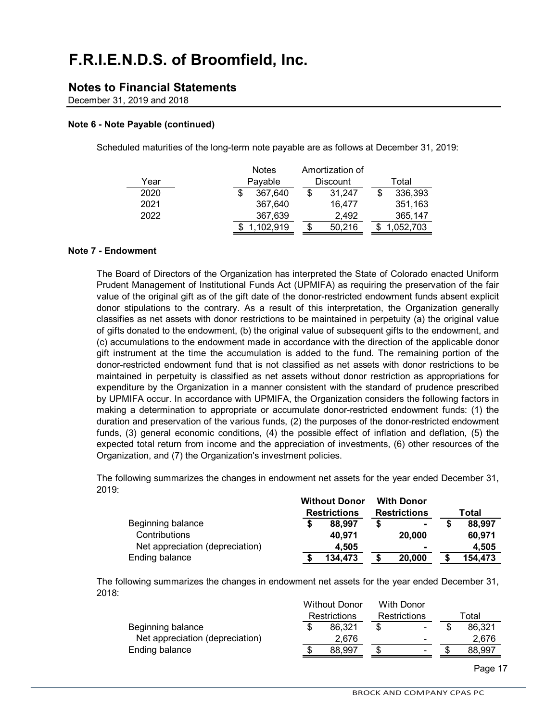### **Notes to Financial Statements**

December 31, 2019 and 2018

### **Note 6 - Note Payable (continued)**

Scheduled maturities of the long-term note payable are as follows at December 31, 2019:

|      |   | <b>Notes</b> |  | Amortization of |   |          |  |  |
|------|---|--------------|--|-----------------|---|----------|--|--|
| Year |   | Payable      |  | Discount        |   | Total    |  |  |
| 2020 | S | 367,640      |  | 31,247          | S | 336,393  |  |  |
| 2021 |   | 367,640      |  | 16,477          |   | 351,163  |  |  |
| 2022 |   | 367,639      |  | 2.492           |   | 365,147  |  |  |
|      |   | .102,919     |  | 50,216          |   | .052,703 |  |  |

### **Note 7 - Endowment**

The Board of Directors of the Organization has interpreted the State of Colorado enacted Uniform Prudent Management of Institutional Funds Act (UPMIFA) as requiring the preservation of the fair value of the original gift as of the gift date of the donor-restricted endowment funds absent explicit donor stipulations to the contrary. As a result of this interpretation, the Organization generally classifies as net assets with donor restrictions to be maintained in perpetuity (a) the original value of gifts donated to the endowment, (b) the original value of subsequent gifts to the endowment, and (c) accumulations to the endowment made in accordance with the direction of the applicable donor gift instrument at the time the accumulation is added to the fund. The remaining portion of the donor-restricted endowment fund that is not classified as net assets with donor restrictions to be maintained in perpetuity is classified as net assets without donor restriction as appropriations for expenditure by the Organization in a manner consistent with the standard of prudence prescribed by UPMIFA occur. In accordance with UPMIFA, the Organization considers the following factors in making a determination to appropriate or accumulate donor-restricted endowment funds: (1) the duration and preservation of the various funds, (2) the purposes of the donor-restricted endowment funds, (3) general economic conditions, (4) the possible effect of inflation and deflation, (5) the expected total return from income and the appreciation of investments, (6) other resources of the Organization, and (7) the Organization's investment policies.

The following summarizes the changes in endowment net assets for the year ended December 31, 2019:

|                                 | <b>Without Donor</b><br><b>Restrictions</b> |         |    | <b>With Donor</b><br><b>Restrictions</b> | Total |         |  |
|---------------------------------|---------------------------------------------|---------|----|------------------------------------------|-------|---------|--|
| Beginning balance               |                                             | 88.997  | \$ | ۰                                        | S     | 88,997  |  |
| Contributions                   |                                             | 40,971  |    | 20,000                                   |       | 60,971  |  |
| Net appreciation (depreciation) |                                             | 4.505   |    |                                          |       | 4.505   |  |
| Ending balance                  |                                             | 134.473 | S  | 20,000                                   |       | 154,473 |  |

The following summarizes the changes in endowment net assets for the year ended December 31, 2018:

|                                 | <b>Without Donor</b> |        | With Donor   |                          |       |        |
|---------------------------------|----------------------|--------|--------------|--------------------------|-------|--------|
|                                 | Restrictions         |        | Restrictions |                          | Total |        |
| Beginning balance               |                      | 86.321 |              | $\blacksquare$           |       | 86.321 |
| Net appreciation (depreciation) |                      | 2.676  |              | $\overline{\phantom{0}}$ |       | 2.676  |
| Ending balance                  |                      | 88.997 |              | $\overline{\phantom{0}}$ |       | 88.997 |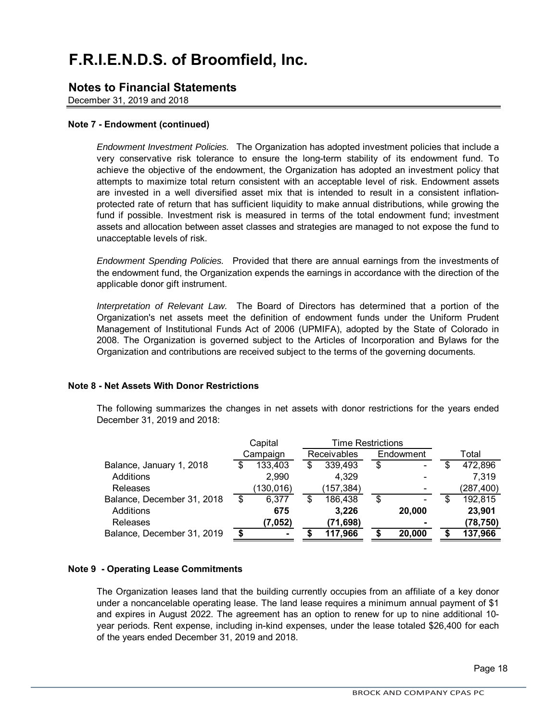### **Notes to Financial Statements**

December 31, 2019 and 2018

### **Note 7 - Endowment (continued)**

*Endowment Investment Policies.* The Organization has adopted investment policies that include a very conservative risk tolerance to ensure the long-term stability of its endowment fund. To achieve the objective of the endowment, the Organization has adopted an investment policy that attempts to maximize total return consistent with an acceptable level of risk. Endowment assets are invested in a well diversified asset mix that is intended to result in a consistent inflationprotected rate of return that has sufficient liquidity to make annual distributions, while growing the fund if possible. Investment risk is measured in terms of the total endowment fund; investment assets and allocation between asset classes and strategies are managed to not expose the fund to unacceptable levels of risk.

*Endowment Spending Policies.* Provided that there are annual earnings from the investments of the endowment fund, the Organization expends the earnings in accordance with the direction of the applicable donor gift instrument.

*Interpretation of Relevant Law.* The Board of Directors has determined that a portion of the Organization's net assets meet the definition of endowment funds under the Uniform Prudent Management of Institutional Funds Act of 2006 (UPMIFA), adopted by the State of Colorado in 2008. The Organization is governed subject to the Articles of Incorporation and Bylaws for the Organization and contributions are received subject to the terms of the governing documents.

### **Note 8 - Net Assets With Donor Restrictions**

The following summarizes the changes in net assets with donor restrictions for the years ended December 31, 2019 and 2018:

|                            | Capital |            | <b>Time Restrictions</b> |             |    |                |   |            |
|----------------------------|---------|------------|--------------------------|-------------|----|----------------|---|------------|
|                            |         | Campaign   |                          | Receivables |    | Endowment      |   | Total      |
| Balance, January 1, 2018   | S       | 133,403    | S                        | 339,493     | \$ | $\blacksquare$ | S | 472,896    |
| Additions                  |         | 2,990      |                          | 4,329       |    | ٠              |   | 7,319      |
| Releases                   |         | (130, 016) |                          | (157, 384)  |    | ۰              |   | (287, 400) |
| Balance, December 31, 2018 | \$      | 6,377      | \$                       | 186,438     | \$ | -              | S | 192,815    |
| Additions                  |         | 675        |                          | 3,226       |    | 20,000         |   | 23,901     |
| Releases                   |         | (7,052)    |                          | (71,698)    |    |                |   | (78, 750)  |
| Balance, December 31, 2019 | \$      | ۰          |                          | 117,966     |    | 20,000         |   | 137,966    |

### **Note 9 - Operating Lease Commitments**

The Organization leases land that the building currently occupies from an affiliate of a key donor under a noncancelable operating lease. The land lease requires a minimum annual payment of \$1 and expires in August 2022. The agreement has an option to renew for up to nine additional 10 year periods. Rent expense, including in-kind expenses, under the lease totaled \$26,400 for each of the years ended December 31, 2019 and 2018.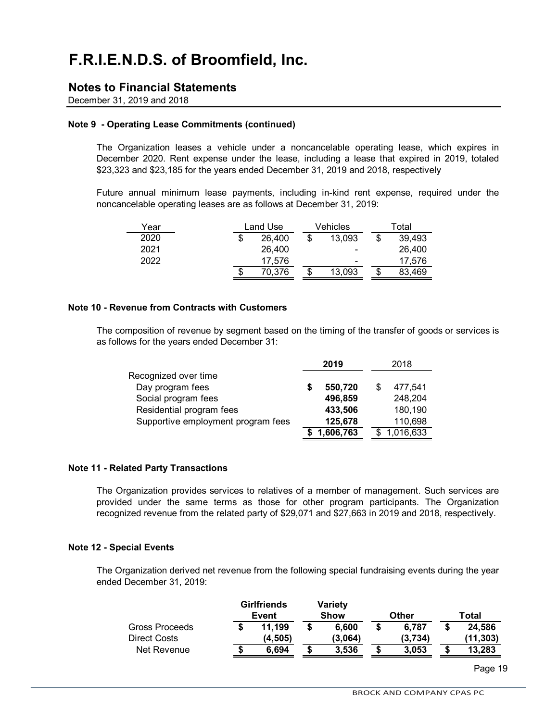### **Notes to Financial Statements**

December 31, 2019 and 2018

### **Note 9 - Operating Lease Commitments (continued)**

The Organization leases a vehicle under a noncancelable operating lease, which expires in December 2020. Rent expense under the lease, including a lease that expired in 2019, totaled \$23,323 and \$23,185 for the years ended December 31, 2019 and 2018, respectively

Future annual minimum lease payments, including in-kind rent expense, required under the noncancelable operating leases are as follows at December 31, 2019:

| Year | Land Use |        |              | Vehicles                 | Total |        |  |
|------|----------|--------|--------------|--------------------------|-------|--------|--|
| 2020 |          | 26,400 |              | 13,093                   | \$    | 39,493 |  |
| 2021 |          | 26.400 |              | -                        |       | 26.400 |  |
| 2022 |          | 17.576 |              | $\overline{\phantom{0}}$ |       | 17.576 |  |
|      | \$       | 70.376 | 13,093<br>\$ |                          | \$    | 83,469 |  |

#### **Note 10 - Revenue from Contracts with Customers**

The composition of revenue by segment based on the timing of the transfer of goods or services is as follows for the years ended December 31:

|                                    | 2019      |   | 2018      |  |  |
|------------------------------------|-----------|---|-----------|--|--|
| Recognized over time               |           |   |           |  |  |
| Day program fees                   | 550,720   | S | 477.541   |  |  |
| Social program fees                | 496,859   |   | 248,204   |  |  |
| Residential program fees           | 433,506   |   | 180,190   |  |  |
| Supportive employment program fees | 125,678   |   | 110,698   |  |  |
|                                    | 1,606,763 |   | 1,016,633 |  |  |

#### **Note 11 - Related Party Transactions**

The Organization provides services to relatives of a member of management. Such services are provided under the same terms as those for other program participants. The Organization recognized revenue from the related party of \$29,071 and \$27,663 in 2019 and 2018, respectively.

#### **Note 12 - Special Events**

The Organization derived net revenue from the following special fundraising events during the year ended December 31, 2019:

|                | <b>Girlfriends</b><br>Event |   | <b>Variety</b><br><b>Show</b> |   | Other   | Total |          |  |
|----------------|-----------------------------|---|-------------------------------|---|---------|-------|----------|--|
| Gross Proceeds | 11,199                      | S | 6,600                         | S | 6,787   |       | 24,586   |  |
| Direct Costs   | (4,505)                     |   | (3,064)                       |   | (3,734) |       | (11.303) |  |
| Net Revenue    | 6,694                       | S | 3,536                         | S | 3.053   | S     | 13,283   |  |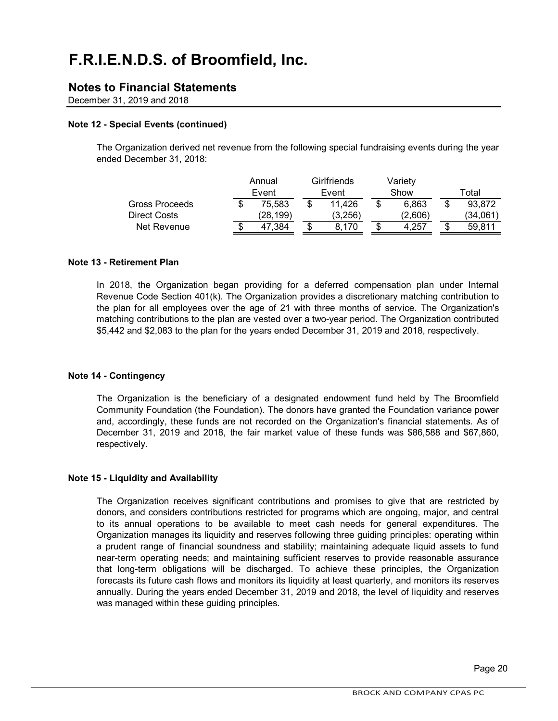### **Notes to Financial Statements**

December 31, 2019 and 2018

#### **Note 12 - Special Events (continued)**

The Organization derived net revenue from the following special fundraising events during the year ended December 31, 2018:

|                |   | Annual   |   | Girlfriends |   | Variety |   |          |  |
|----------------|---|----------|---|-------------|---|---------|---|----------|--|
|                |   | Event    |   | Event       |   | Show    |   | Total    |  |
| Gross Proceeds |   | 75,583   |   | 11.426      |   | 6.863   |   | 93.872   |  |
| Direct Costs   |   | (28.199) |   | (3.256)     |   | (2.606) |   | (34.061` |  |
| Net Revenue    | S | .384     | S | 8.170       | S | $+257$  | S | 59.811   |  |

#### **Note 13 - Retirement Plan**

In 2018, the Organization began providing for a deferred compensation plan under Internal Revenue Code Section 401(k). The Organization provides a discretionary matching contribution to the plan for all employees over the age of 21 with three months of service. The Organization's matching contributions to the plan are vested over a two-year period. The Organization contributed \$5,442 and \$2,083 to the plan for the years ended December 31, 2019 and 2018, respectively.

#### **Note 14 - Contingency**

The Organization is the beneficiary of a designated endowment fund held by The Broomfield Community Foundation (the Foundation). The donors have granted the Foundation variance power and, accordingly, these funds are not recorded on the Organization's financial statements. As of December 31, 2019 and 2018, the fair market value of these funds was \$86,588 and \$67,860, respectively.

#### **Note 15 - Liquidity and Availability**

The Organization receives significant contributions and promises to give that are restricted by donors, and considers contributions restricted for programs which are ongoing, major, and central to its annual operations to be available to meet cash needs for general expenditures. The Organization manages its liquidity and reserves following three guiding principles: operating within a prudent range of financial soundness and stability; maintaining adequate liquid assets to fund near-term operating needs; and maintaining sufficient reserves to provide reasonable assurance that long-term obligations will be discharged. To achieve these principles, the Organization forecasts its future cash flows and monitors its liquidity at least quarterly, and monitors its reserves annually. During the years ended December 31, 2019 and 2018, the level of liquidity and reserves was managed within these guiding principles.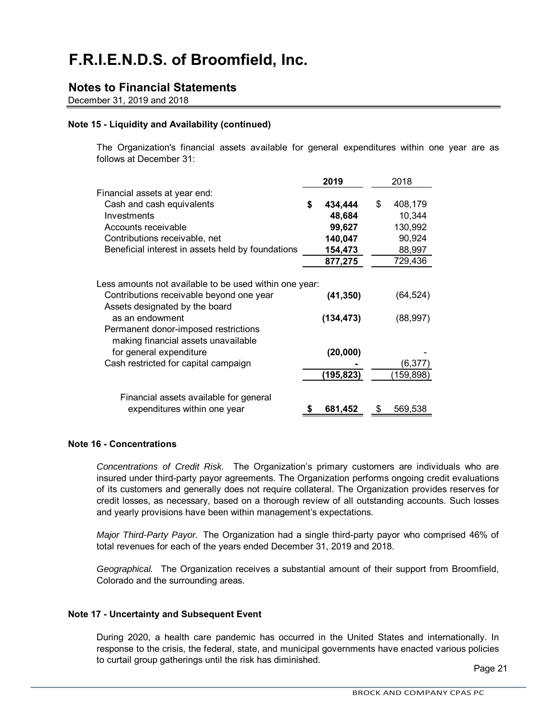### **Notes to Financial Statements**

December 31, 2019 and 2018

### **Note 15 - Liquidity and Availability (continued)**

The Organization's financial assets available for general expenditures within one year are as follows at December 31:

|                                                                                                | 2019 |            |    | 2018      |
|------------------------------------------------------------------------------------------------|------|------------|----|-----------|
| Financial assets at year end:                                                                  |      |            |    |           |
| Cash and cash equivalents                                                                      | \$   | 434,444    | \$ | 408,179   |
| Investments                                                                                    |      | 48,684     |    | 10,344    |
| Accounts receivable                                                                            |      | 99,627     |    | 130,992   |
| Contributions receivable, net                                                                  |      | 140,047    |    | 90,924    |
| Beneficial interest in assets held by foundations                                              |      | 154,473    |    | 88,997    |
|                                                                                                |      | 877,275    |    | 729,436   |
| Less amounts not available to be used within one year:                                         |      |            |    |           |
| Contributions receivable beyond one year<br>Assets designated by the board                     |      | (41, 350)  |    | (64, 524) |
| as an endowment<br>Permanent donor-imposed restrictions<br>making financial assets unavailable |      | (134, 473) |    | (88, 997) |
| for general expenditure                                                                        |      | (20,000)   |    |           |
| Cash restricted for capital campaign                                                           |      |            |    | (6,377    |
|                                                                                                |      | (195,823)  |    | (159,898) |
| Financial assets available for general                                                         |      |            |    |           |
| expenditures within one year                                                                   |      | 681,452    | \$ | 569,538   |

### **Note 16 - Concentrations**

*Concentrations of Credit Risk.* The Organization's primary customers are individuals who are insured under third-party payor agreements. The Organization performs ongoing credit evaluations of its customers and generally does not require collateral. The Organization provides reserves for credit losses, as necessary, based on a thorough review of all outstanding accounts. Such losses and yearly provisions have been within management's expectations.

*Major Third-Party Payor.* The Organization had a single third-party payor who comprised 46% of total revenues for each of the years ended December 31, 2019 and 2018.

*Geographical.* The Organization receives a substantial amount of their support from Broomfield, Colorado and the surrounding areas.

#### **Note 17 - Uncertainty and Subsequent Event**

During 2020, a health care pandemic has occurred in the United States and internationally. In response to the crisis, the federal, state, and municipal governments have enacted various policies to curtail group gatherings until the risk has diminished. Page 21